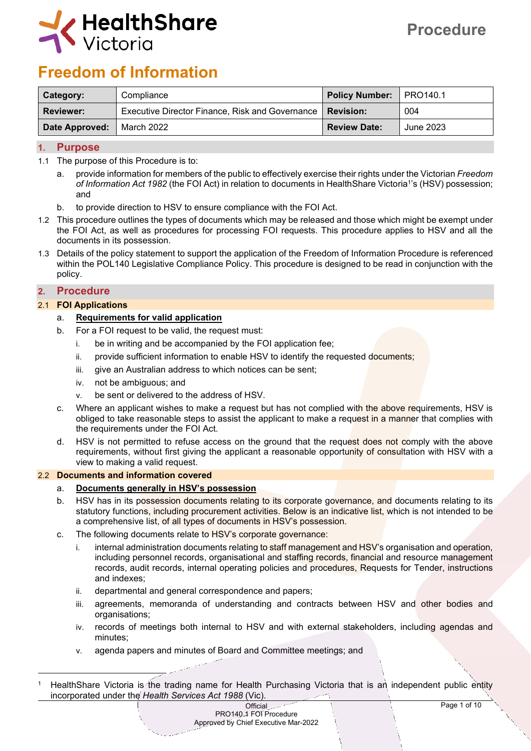

# **Freedom of Information**

| <b>Category:</b> | Compliance                                                  | Policy Number:   PRO140.1 |           |
|------------------|-------------------------------------------------------------|---------------------------|-----------|
| Reviewer:        | Executive Director Finance, Risk and Governance   Revision: |                           | 004       |
| Date Approved:   | March 2022                                                  | <b>Review Date:</b>       | June 2023 |

# **1. Purpose**

- 1.1 The purpose of this Procedure is to:
	- a. provide information for members of the public to effectively exercise their rights under the Victorian *Freedom of Information Act 1982* (the FOI Act) in relation to documents in HealthShare Victoria<sup>1</sup> 's (HSV) possession; and
	- b. to provide direction to HSV to ensure compliance with the FOI Act.
- 1.2 This procedure outlines the types of documents which may be released and those which might be exempt under the FOI Act, as well as procedures for processing FOI requests. This procedure applies to HSV and all the documents in its possession.
- 1.3 Details of the policy statement to support the application of the Freedom of Information Procedure is referenced within the POL140 Legislative Compliance Policy. This procedure is designed to be read in conjunction with the policy.

# **2. Procedure**

## 2.1 **FOI Applications**

## a. **Requirements for valid application**

- b. For a FOI request to be valid, the request must:
	- i. be in writing and be accompanied by the FOI application fee;
	- ii. provide sufficient information to enable HSV to identify the requested documents;
	- iii. give an Australian address to which notices can be sent;
	- iv. not be ambiguous; and
	- v. be sent or delivered to the address of HSV.
- c. Where an applicant wishes to make a request but has not complied with the above requirements, HSV is obliged to take reasonable steps to assist the applicant to make a request in a manner that complies with the requirements under the FOI Act.
- d. HSV is not permitted to refuse access on the ground that the request does not comply with the above requirements, without first giving the applicant a reasonable opportunity of consultation with HSV with a view to making a valid request.

#### 2.2 **Documents and information covered**

## a. **Documents generally in HSV's possession**

- b. HSV has in its possession documents relating to its corporate governance, and documents relating to its statutory functions, including procurement activities. Below is an indicative list, which is not intended to be a comprehensive list, of all types of documents in HSV's possession.
- c. The following documents relate to HSV's corporate governance:
	- i. internal administration documents relating to staff management and HSV's organisation and operation, including personnel records, organisational and staffing records, financial and resource management records, audit records, internal operating policies and procedures, Requests for Tender, instructions and indexes;
	- ii. departmental and general correspondence and papers;
	- iii. agreements, memoranda of understanding and contracts between HSV and other bodies and organisations;
	- iv. records of meetings both internal to HSV and with external stakeholders, including agendas and minutes;
	- v. agenda papers and minutes of Board and Committee meetings; and

<sup>1</sup> HealthShare Victoria is the trading name for Health Purchasing Victoria that is an independent public entity incorporated under the *Health Services Act 1988* (Vic).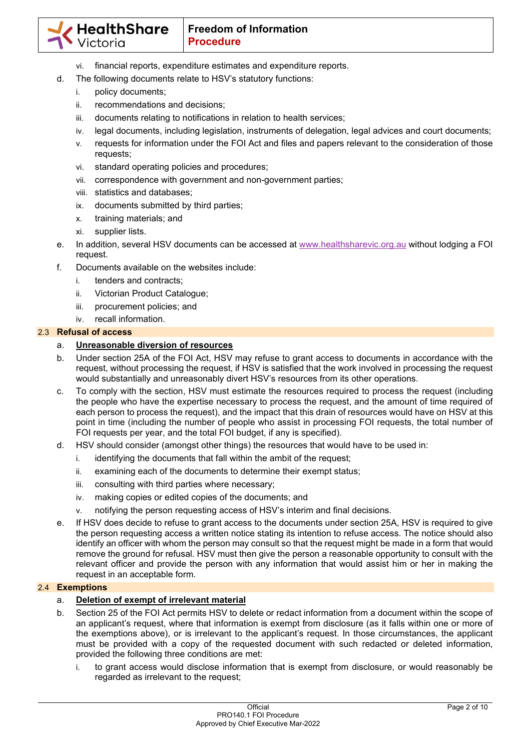- vi. financial reports, expenditure estimates and expenditure reports.
- d. The following documents relate to HSV's statutory functions:
	- i. policy documents;
	- ii. recommendations and decisions;
	- iii. documents relating to notifications in relation to health services;
	- iv. legal documents, including legislation, instruments of delegation, legal advices and court documents;
	- v. requests for information under the FOI Act and files and papers relevant to the consideration of those requests;
	- vi. standard operating policies and procedures;
	- vii. correspondence with government and non-government parties;
	- viii. statistics and databases;
	- ix. documents submitted by third parties;
	- x. training materials; and
	- xi. supplier lists.
- e. In addition, several HSV documents can be accessed at www.healthsharevic.org.au without lodging a FOI request.
- f. Documents available on the websites include:
	- i. tenders and contracts;
	- ii. Victorian Product Catalogue;
	- iii. procurement policies; and
	- iv. recall information.

## 2.3 **Refusal of access**

# a. **Unreasonable diversion of resources**

- b. Under section 25A of the FOI Act, HSV may refuse to grant access to documents in accordance with the request, without processing the request, if HSV is satisfied that the work involved in processing the request would substantially and unreasonably divert HSV's resources from its other operations.
- c. To comply with the section, HSV must estimate the resources required to process the request (including the people who have the expertise necessary to process the request, and the amount of time required of each person to process the request), and the impact that this drain of resources would have on HSV at this point in time (including the number of people who assist in processing FOI requests, the total number of FOI requests per year, and the total FOI budget, if any is specified).
- d. HSV should consider (amongst other things) the resources that would have to be used in:
	- i. identifying the documents that fall within the ambit of the request;
	- ii. examining each of the documents to determine their exempt status;
	- iii. consulting with third parties where necessary;
	- iv. making copies or edited copies of the documents; and
	- v. notifying the person requesting access of HSV's interim and final decisions.
- e. If HSV does decide to refuse to grant access to the documents under section 25A, HSV is required to give the person requesting access a written notice stating its intention to refuse access. The notice should also identify an officer with whom the person may consult so that the request might be made in a form that would remove the ground for refusal. HSV must then give the person a reasonable opportunity to consult with the relevant officer and provide the person with any information that would assist him or her in making the request in an acceptable form.

## 2.4 **Exemptions**

## a. **Deletion of exempt of irrelevant material**

- b. Section 25 of the FOI Act permits HSV to delete or redact information from a document within the scope of an applicant's request, where that information is exempt from disclosure (as it falls within one or more of the exemptions above), or is irrelevant to the applicant's request. In those circumstances, the applicant must be provided with a copy of the requested document with such redacted or deleted information, provided the following three conditions are met:
	- i. to grant access would disclose information that is exempt from disclosure, or would reasonably be regarded as irrelevant to the request;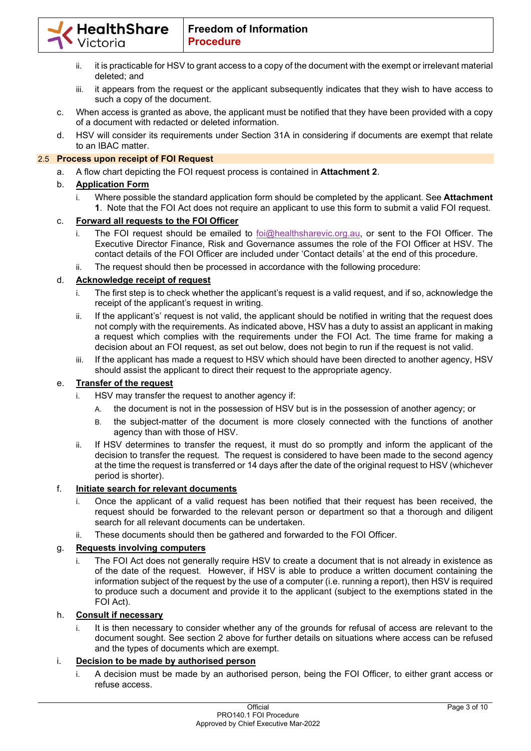

- ii. it is practicable for HSV to grant access to a copy of the document with the exempt or irrelevant material deleted; and
- iii. it appears from the request or the applicant subsequently indicates that they wish to have access to such a copy of the document.
- c. When access is granted as above, the applicant must be notified that they have been provided with a copy of a document with redacted or deleted information.
- d. HSV will consider its requirements under Section 31A in considering if documents are exempt that relate to an IBAC matter.

# 2.5 **Process upon receipt of FOI Request**

a. A flow chart depicting the FOI request process is contained in **Attachment 2**.

# b. **Application Form**

i. Where possible the standard application form should be completed by the applicant. See **Attachment 1**. Note that the FOI Act does not require an applicant to use this form to submit a valid FOI request.

# c. **Forward all requests to the FOI Officer**

- i. The FOI request should be emailed to foi@healthsharevic.org.au, or sent to the FOI Officer. The Executive Director Finance, Risk and Governance assumes the role of the FOI Officer at HSV. The contact details of the FOI Officer are included under 'Contact details' at the end of this procedure.
- ii. The request should then be processed in accordance with the following procedure:

## d. **Acknowledge receipt of request**

- i. The first step is to check whether the applicant's request is a valid request, and if so, acknowledge the receipt of the applicant's request in writing.
- ii. If the applicant's' request is not valid, the applicant should be notified in writing that the request does not comply with the requirements. As indicated above, HSV has a duty to assist an applicant in making a request which complies with the requirements under the FOI Act. The time frame for making a decision about an FOI request, as set out below, does not begin to run if the request is not valid.
- iii. If the applicant has made a request to HSV which should have been directed to another agency, HSV should assist the applicant to direct their request to the appropriate agency.

## e. **Transfer of the request**

- i. HSV may transfer the request to another agency if:
	- A. the document is not in the possession of HSV but is in the possession of another agency; or
	- B. the subject-matter of the document is more closely connected with the functions of another agency than with those of HSV.
- ii. If HSV determines to transfer the request, it must do so promptly and inform the applicant of the decision to transfer the request. The request is considered to have been made to the second agency at the time the request is transferred or 14 days after the date of the original request to HSV (whichever period is shorter).

# f. **Initiate search for relevant documents**

- i. Once the applicant of a valid request has been notified that their request has been received, the request should be forwarded to the relevant person or department so that a thorough and diligent search for all relevant documents can be undertaken.
- ii. These documents should then be gathered and forwarded to the FOI Officer.

## g. **Requests involving computers**

i. The FOI Act does not generally require HSV to create a document that is not already in existence as of the date of the request. However, if HSV is able to produce a written document containing the information subject of the request by the use of a computer (i.e. running a report), then HSV is required to produce such a document and provide it to the applicant (subject to the exemptions stated in the FOI Act).

## h. **Consult if necessary**

i. It is then necessary to consider whether any of the grounds for refusal of access are relevant to the document sought. See section 2 above for further details on situations where access can be refused and the types of documents which are exempt.

## i. **Decision to be made by authorised person**

i. A decision must be made by an authorised person, being the FOI Officer, to either grant access or refuse access.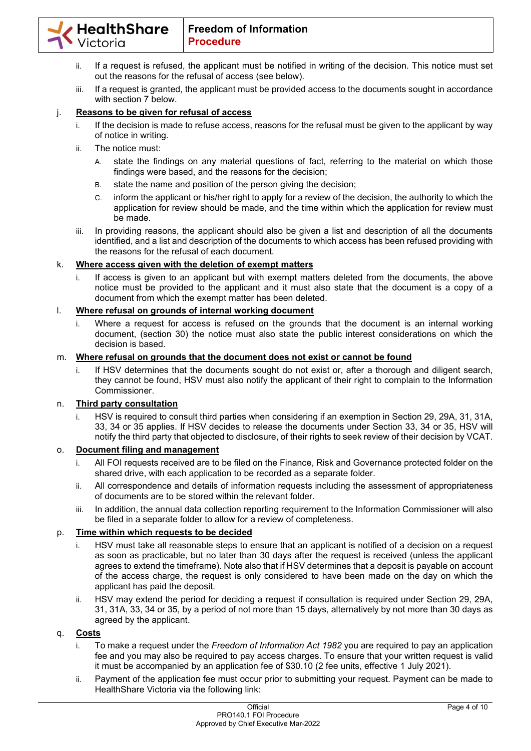- ii. If a request is refused, the applicant must be notified in writing of the decision. This notice must set out the reasons for the refusal of access (see below).
- iii. If a request is granted, the applicant must be provided access to the documents sought in accordance with section 7 below.

# j. **Reasons to be given for refusal of access**

- i. If the decision is made to refuse access, reasons for the refusal must be given to the applicant by way of notice in writing.
- ii. The notice must:
	- A. state the findings on any material questions of fact, referring to the material on which those findings were based, and the reasons for the decision;
	- B. state the name and position of the person giving the decision;
	- C. inform the applicant or his/her right to apply for a review of the decision, the authority to which the application for review should be made, and the time within which the application for review must be made.
- iii. In providing reasons, the applicant should also be given a list and description of all the documents identified, and a list and description of the documents to which access has been refused providing with the reasons for the refusal of each document.

# k. **Where access given with the deletion of exempt matters**

i. If access is given to an applicant but with exempt matters deleted from the documents, the above notice must be provided to the applicant and it must also state that the document is a copy of a document from which the exempt matter has been deleted.

# l. **Where refusal on grounds of internal working document**

i. Where a request for access is refused on the grounds that the document is an internal working document, (section 30) the notice must also state the public interest considerations on which the decision is based.

## m. **Where refusal on grounds that the document does not exist or cannot be found**

i. If HSV determines that the documents sought do not exist or, after a thorough and diligent search, they cannot be found, HSV must also notify the applicant of their right to complain to the Information Commissioner.

# n. **Third party consultation**

i. HSV is required to consult third parties when considering if an exemption in Section 29, 29A, 31, 31A, 33, 34 or 35 applies. If HSV decides to release the documents under Section 33, 34 or 35, HSV will notify the third party that objected to disclosure, of their rights to seek review of their decision by VCAT.

# o. **Document filing and management**

- i. All FOI requests received are to be filed on the Finance, Risk and Governance protected folder on the shared drive, with each application to be recorded as a separate folder.
- ii. All correspondence and details of information requests including the assessment of appropriateness of documents are to be stored within the relevant folder.
- iii. In addition, the annual data collection reporting requirement to the Information Commissioner will also be filed in a separate folder to allow for a review of completeness.

## p. **Time within which requests to be decided**

- i. HSV must take all reasonable steps to ensure that an applicant is notified of a decision on a request as soon as practicable, but no later than 30 days after the request is received (unless the applicant agrees to extend the timeframe). Note also that if HSV determines that a deposit is payable on account of the access charge, the request is only considered to have been made on the day on which the applicant has paid the deposit.
- ii. HSV may extend the period for deciding a request if consultation is required under Section 29, 29A, 31, 31A, 33, 34 or 35, by a period of not more than 15 days, alternatively by not more than 30 days as agreed by the applicant.

## q. **Costs**

- i. To make a request under the *Freedom of Information Act 1982* you are required to pay an application fee and you may also be required to pay access charges. To ensure that your written request is valid it must be accompanied by an application fee of \$30.10 (2 fee units, effective 1 July 2021).
- ii. Payment of the application fee must occur prior to submitting your request. Payment can be made to HealthShare Victoria via the following link: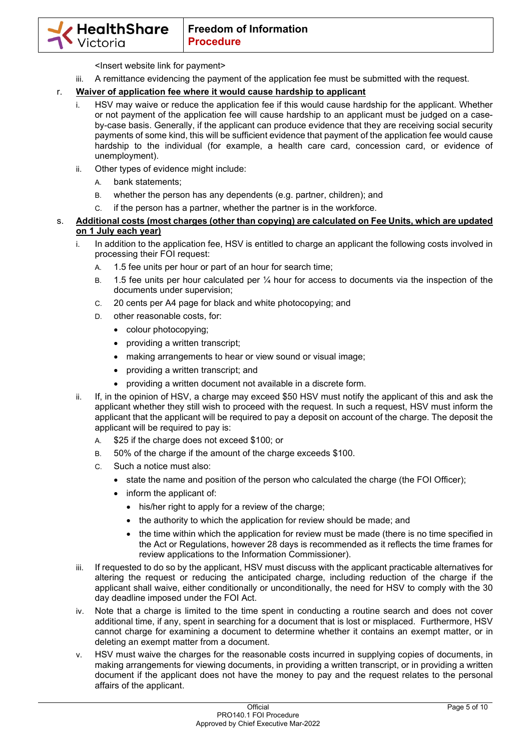<Insert website link for payment>

iii. A remittance evidencing the payment of the application fee must be submitted with the request.

# r. **Waiver of application fee where it would cause hardship to applicant**

- i. HSV may waive or reduce the application fee if this would cause hardship for the applicant. Whether or not payment of the application fee will cause hardship to an applicant must be judged on a caseby-case basis. Generally, if the applicant can produce evidence that they are receiving social security payments of some kind, this will be sufficient evidence that payment of the application fee would cause hardship to the individual (for example, a health care card, concession card, or evidence of unemployment).
- ii. Other types of evidence might include:
	- A. bank statements;
	- B. whether the person has any dependents (e.g. partner, children); and
	- C. if the person has a partner, whether the partner is in the workforce.
- s. **Additional costs (most charges (other than copying) are calculated on Fee Units, which are updated on 1 July each year)** 
	- i. In addition to the application fee, HSV is entitled to charge an applicant the following costs involved in processing their FOI request:
		- A. 1.5 fee units per hour or part of an hour for search time;
		- B. 1.5 fee units per hour calculated per ¼ hour for access to documents via the inspection of the documents under supervision;
		- C. 20 cents per A4 page for black and white photocopying; and
		- D. other reasonable costs, for:
			- colour photocopying;
			- providing a written transcript;
			- making arrangements to hear or view sound or visual image;
			- providing a written transcript; and
			- providing a written document not available in a discrete form.
	- ii. If, in the opinion of HSV, a charge may exceed \$50 HSV must notify the applicant of this and ask the applicant whether they still wish to proceed with the request. In such a request, HSV must inform the applicant that the applicant will be required to pay a deposit on account of the charge. The deposit the applicant will be required to pay is:
		- A. \$25 if the charge does not exceed \$100; or
		- B. 50% of the charge if the amount of the charge exceeds \$100.
		- C. Such a notice must also:
			- state the name and position of the person who calculated the charge (the FOI Officer);
			- inform the applicant of:
				- his/her right to apply for a review of the charge;
				- the authority to which the application for review should be made; and
				- the time within which the application for review must be made (there is no time specified in the Act or Regulations, however 28 days is recommended as it reflects the time frames for review applications to the Information Commissioner).
	- iii. If requested to do so by the applicant, HSV must discuss with the applicant practicable alternatives for altering the request or reducing the anticipated charge, including reduction of the charge if the applicant shall waive, either conditionally or unconditionally, the need for HSV to comply with the 30 day deadline imposed under the FOI Act.
	- iv. Note that a charge is limited to the time spent in conducting a routine search and does not cover additional time, if any, spent in searching for a document that is lost or misplaced. Furthermore, HSV cannot charge for examining a document to determine whether it contains an exempt matter, or in deleting an exempt matter from a document.
	- v. HSV must waive the charges for the reasonable costs incurred in supplying copies of documents, in making arrangements for viewing documents, in providing a written transcript, or in providing a written document if the applicant does not have the money to pay and the request relates to the personal affairs of the applicant.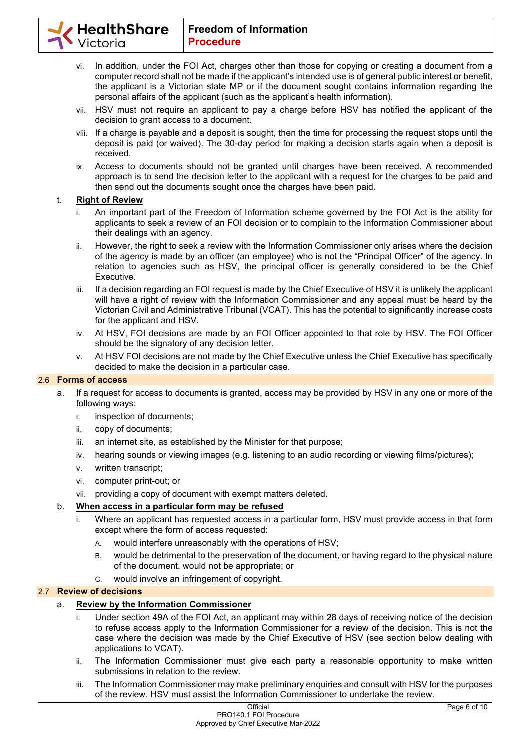- vi. In addition, under the FOI Act, charges other than those for copying or creating a document from a computer record shall not be made if the applicant's intended use is of general public interest or benefit, the applicant is a Victorian state MP or if the document sought contains information regarding the personal affairs of the applicant (such as the applicant's health information).
- vii. HSV must not require an applicant to pay a charge before HSV has notified the applicant of the decision to grant access to a document.
- viii. If a charge is payable and a deposit is sought, then the time for processing the request stops until the deposit is paid (or waived). The 30-day period for making a decision starts again when a deposit is received.
- ix. Access to documents should not be granted until charges have been received. A recommended approach is to send the decision letter to the applicant with a request for the charges to be paid and then send out the documents sought once the charges have been paid.

## t. **Right of Review**

- i. An important part of the Freedom of Information scheme governed by the FOI Act is the ability for applicants to seek a review of an FOI decision or to complain to the Information Commissioner about their dealings with an agency.
- ii. However, the right to seek a review with the Information Commissioner only arises where the decision of the agency is made by an officer (an employee) who is not the "Principal Officer" of the agency. In relation to agencies such as HSV, the principal officer is generally considered to be the Chief Executive.
- iii. If a decision regarding an FOI request is made by the Chief Executive of HSV it is unlikely the applicant will have a right of review with the Information Commissioner and any appeal must be heard by the Victorian Civil and Administrative Tribunal (VCAT). This has the potential to significantly increase costs for the applicant and HSV.
- iv. At HSV, FOI decisions are made by an FOI Officer appointed to that role by HSV. The FOI Officer should be the signatory of any decision letter.
- v. At HSV FOI decisions are not made by the Chief Executive unless the Chief Executive has specifically decided to make the decision in a particular case.

## 2.6 **Forms of access**

- a. If a request for access to documents is granted, access may be provided by HSV in any one or more of the following ways:
	- i. inspection of documents;
	- ii. copy of documents;
	- iii. an internet site, as established by the Minister for that purpose;
	- iv. hearing sounds or viewing images (e.g. listening to an audio recording or viewing films/pictures);
	- v. written transcript;
	- vi. computer print-out; or
	- vii. providing a copy of document with exempt matters deleted.

# b. **When access in a particular form may be refused**

- i. Where an applicant has requested access in a particular form, HSV must provide access in that form except where the form of access requested:
	- A. would interfere unreasonably with the operations of HSV;
	- B. would be detrimental to the preservation of the document, or having regard to the physical nature of the document, would not be appropriate; or
	- C. would involve an infringement of copyright.

# 2.7 **Review of decisions**

## a. **Review by the Information Commissioner**

- i. Under section 49A of the FOI Act, an applicant may within 28 days of receiving notice of the decision to refuse access apply to the Information Commissioner for a review of the decision. This is not the case where the decision was made by the Chief Executive of HSV (see section below dealing with applications to VCAT).
- ii. The Information Commissioner must give each party a reasonable opportunity to make written submissions in relation to the review.
- iii. The Information Commissioner may make preliminary enquiries and consult with HSV for the purposes of the review. HSV must assist the Information Commissioner to undertake the review.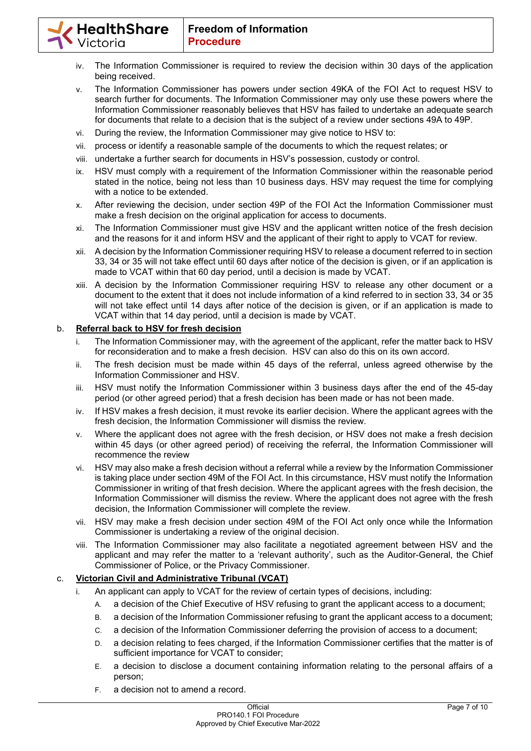- iv. The Information Commissioner is required to review the decision within 30 days of the application being received.
- v. The Information Commissioner has powers under section 49KA of the FOI Act to request HSV to search further for documents. The Information Commissioner may only use these powers where the Information Commissioner reasonably believes that HSV has failed to undertake an adequate search for documents that relate to a decision that is the subject of a review under sections 49A to 49P.
- vi. During the review, the Information Commissioner may give notice to HSV to:
- vii. process or identify a reasonable sample of the documents to which the request relates; or
- viii. undertake a further search for documents in HSV's possession, custody or control.
- ix. HSV must comply with a requirement of the Information Commissioner within the reasonable period stated in the notice, being not less than 10 business days. HSV may request the time for complying with a notice to be extended.
- x. After reviewing the decision, under section 49P of the FOI Act the Information Commissioner must make a fresh decision on the original application for access to documents.
- xi. The Information Commissioner must give HSV and the applicant written notice of the fresh decision and the reasons for it and inform HSV and the applicant of their right to apply to VCAT for review.
- xii. A decision by the Information Commissioner requiring HSV to release a document referred to in section 33, 34 or 35 will not take effect until 60 days after notice of the decision is given, or if an application is made to VCAT within that 60 day period, until a decision is made by VCAT.
- xiii. A decision by the Information Commissioner requiring HSV to release any other document or a document to the extent that it does not include information of a kind referred to in section 33, 34 or 35 will not take effect until 14 days after notice of the decision is given, or if an application is made to VCAT within that 14 day period, until a decision is made by VCAT.

# b. **Referral back to HSV for fresh decision**

- i. The Information Commissioner may, with the agreement of the applicant, refer the matter back to HSV for reconsideration and to make a fresh decision. HSV can also do this on its own accord.
- ii. The fresh decision must be made within 45 days of the referral, unless agreed otherwise by the Information Commissioner and HSV.
- iii. HSV must notify the Information Commissioner within 3 business days after the end of the 45-day period (or other agreed period) that a fresh decision has been made or has not been made.
- iv. If HSV makes a fresh decision, it must revoke its earlier decision. Where the applicant agrees with the fresh decision, the Information Commissioner will dismiss the review.
- v. Where the applicant does not agree with the fresh decision, or HSV does not make a fresh decision within 45 days (or other agreed period) of receiving the referral, the Information Commissioner will recommence the review
- vi. HSV may also make a fresh decision without a referral while a review by the Information Commissioner is taking place under section 49M of the FOI Act. In this circumstance, HSV must notify the Information Commissioner in writing of that fresh decision. Where the applicant agrees with the fresh decision, the Information Commissioner will dismiss the review. Where the applicant does not agree with the fresh decision, the Information Commissioner will complete the review.
- vii. HSV may make a fresh decision under section 49M of the FOI Act only once while the Information Commissioner is undertaking a review of the original decision.
- viii. The Information Commissioner may also facilitate a negotiated agreement between HSV and the applicant and may refer the matter to a 'relevant authority', such as the Auditor-General, the Chief Commissioner of Police, or the Privacy Commissioner.

# c. **Victorian Civil and Administrative Tribunal (VCAT)**

- i. An applicant can apply to VCAT for the review of certain types of decisions, including:
	- A. a decision of the Chief Executive of HSV refusing to grant the applicant access to a document;
	- B. a decision of the Information Commissioner refusing to grant the applicant access to a document;
	- C. a decision of the Information Commissioner deferring the provision of access to a document;
	- D. a decision relating to fees charged, if the Information Commissioner certifies that the matter is of sufficient importance for VCAT to consider;
	- E. a decision to disclose a document containing information relating to the personal affairs of a person;
	- F. a decision not to amend a record.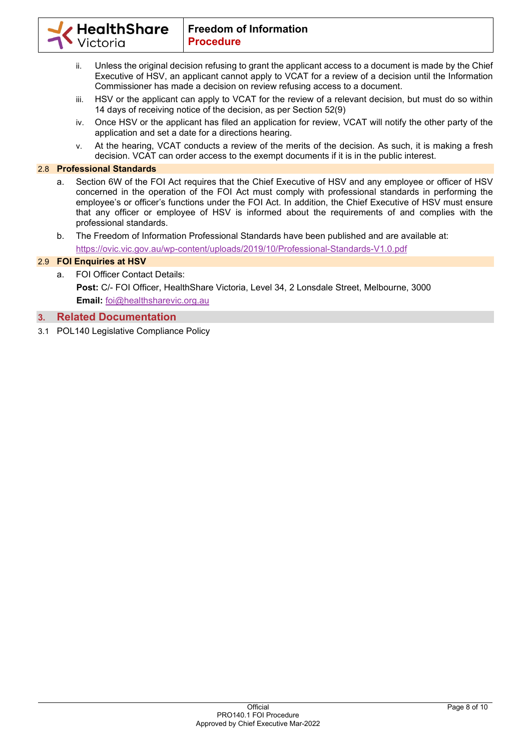

- ii. Unless the original decision refusing to grant the applicant access to a document is made by the Chief Executive of HSV, an applicant cannot apply to VCAT for a review of a decision until the Information Commissioner has made a decision on review refusing access to a document.
- iii. HSV or the applicant can apply to VCAT for the review of a relevant decision, but must do so within 14 days of receiving notice of the decision, as per Section 52(9)
- iv. Once HSV or the applicant has filed an application for review, VCAT will notify the other party of the application and set a date for a directions hearing.
- v. At the hearing, VCAT conducts a review of the merits of the decision. As such, it is making a fresh decision. VCAT can order access to the exempt documents if it is in the public interest.

# 2.8 **Professional Standards**

- a. Section 6W of the FOI Act requires that the Chief Executive of HSV and any employee or officer of HSV concerned in the operation of the FOI Act must comply with professional standards in performing the employee's or officer's functions under the FOI Act. In addition, the Chief Executive of HSV must ensure that any officer or employee of HSV is informed about the requirements of and complies with the professional standards.
- b. The Freedom of Information Professional Standards have been published and are available at:

https://ovic.vic.gov.au/wp-content/uploads/2019/10/Professional-Standards-V1.0.pdf

# 2.9 **FOI Enquiries at HSV**

a. FOI Officer Contact Details: **Post:** C/- FOI Officer, HealthShare Victoria, Level 34, 2 Lonsdale Street, Melbourne, 3000 **Email:** foi@healthsharevic.org.au

# **3. Related Documentation**

3.1 POL140 Legislative Compliance Policy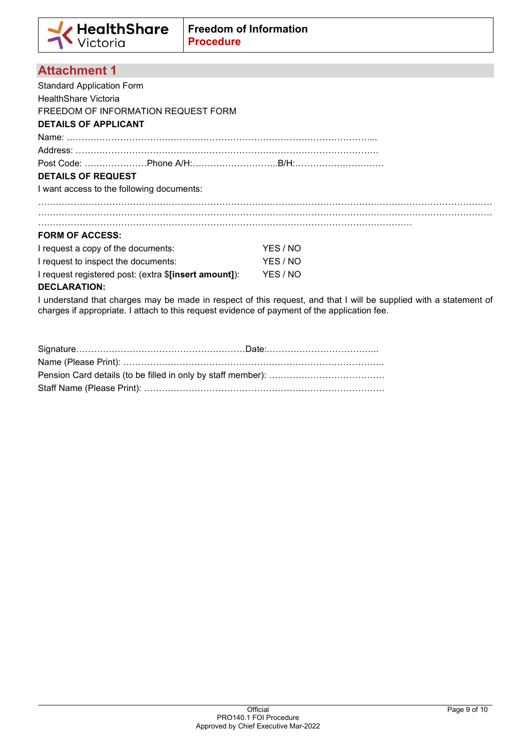# **Attachment 1**

Standard Application Form HealthShare Victoria FREEDOM OF INFORMATION REQUEST FORM **DETAILS OF APPLICANT**  Name: …………………………………………………………………………………………... Address: ………………………………………………………………………………………… Post Code: …………………Phone A/H:………………………..B/H:………………………… **DETAILS OF REQUEST**  I want access to the following documents: ……………………………………………………………………………………………………………………………………… ……………………………………………………………………………………………………………………………………… . The contract of the contract of the contract of the contract of the contract of the contract of the contract of the contract of the contract of the contract of the contract of the contract of the contract of the contrac **FORM OF ACCESS:**  I request a copy of the documents: YES / NO I request to inspect the documents: YES / NO I request registered post: (extra \$**[insert amount]**): YES / NO **DECLARATION:**  I understand that charges may be made in respect of this request, and that I will be supplied with a statement of charges if appropriate. I attach to this request evidence of payment of the application fee.